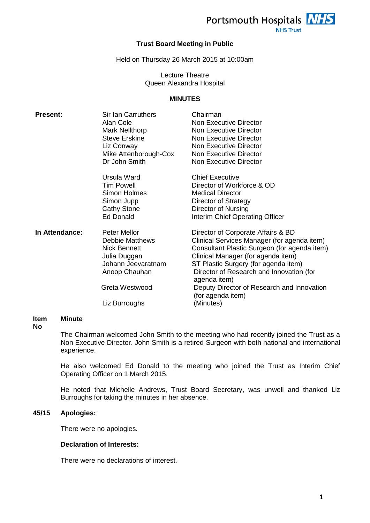

**NHS Trust** 

## **Trust Board Meeting in Public**

Held on Thursday 26 March 2015 at 10:00am

## Lecture Theatre Queen Alexandra Hospital

## **MINUTES**

| <b>Present:</b> | Sir Ian Carruthers<br>Alan Cole<br>Mark Nellthorp<br><b>Steve Erskine</b><br>Liz Conway<br>Mike Attenborough-Cox<br>Dr John Smith                       | Chairman<br><b>Non Executive Director</b><br><b>Non Executive Director</b><br>Non Executive Director<br>Non Executive Director<br>Non Executive Director<br><b>Non Executive Director</b>                                                                                                                                                                   |
|-----------------|---------------------------------------------------------------------------------------------------------------------------------------------------------|-------------------------------------------------------------------------------------------------------------------------------------------------------------------------------------------------------------------------------------------------------------------------------------------------------------------------------------------------------------|
|                 | Ursula Ward<br><b>Tim Powell</b><br>Simon Holmes<br>Simon Jupp<br><b>Cathy Stone</b><br>Ed Donald                                                       | <b>Chief Executive</b><br>Director of Workforce & OD<br><b>Medical Director</b><br>Director of Strategy<br>Director of Nursing<br>Interim Chief Operating Officer                                                                                                                                                                                           |
| In Attendance:  | Peter Mellor<br><b>Debbie Matthews</b><br><b>Nick Bennett</b><br>Julia Duggan<br>Johann Jeevaratnam<br>Anoop Chauhan<br>Greta Westwood<br>Liz Burroughs | Director of Corporate Affairs & BD<br>Clinical Services Manager (for agenda item)<br>Consultant Plastic Surgeon (for agenda item)<br>Clinical Manager (for agenda item)<br>ST Plastic Surgery (for agenda item)<br>Director of Research and Innovation (for<br>agenda item)<br>Deputy Director of Research and Innovation<br>(for agenda item)<br>(Minutes) |

#### **Item Minute**

#### **No**

The Chairman welcomed John Smith to the meeting who had recently joined the Trust as a Non Executive Director. John Smith is a retired Surgeon with both national and international experience.

He also welcomed Ed Donald to the meeting who joined the Trust as Interim Chief Operating Officer on 1 March 2015.

He noted that Michelle Andrews, Trust Board Secretary, was unwell and thanked Liz Burroughs for taking the minutes in her absence.

#### **45/15 Apologies:**

There were no apologies.

# **Declaration of Interests:**

There were no declarations of interest.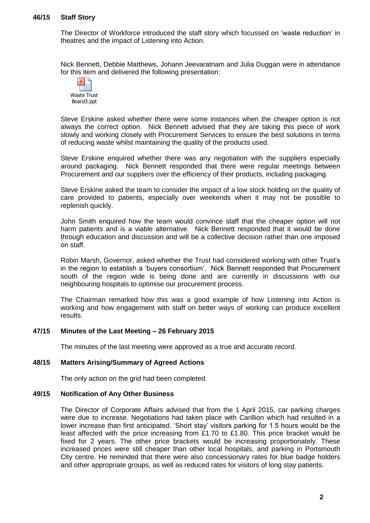## **46/15 Staff Story**

The Director of Workforce introduced the staff story which focussed on 'waste reduction' in theatres and the impact of Listening into Action.

Nick Bennett, Debbie Matthews, Johann Jeevaratnam and Julia Duggan were in attendance for this item and delivered the following presentation:



Steve Erskine asked whether there were some instances when the cheaper option is not always the correct option. Nick Bennett advised that they are taking this piece of work slowly and working closely with Procurement Services to ensure the best solutions in terms of reducing waste whilst maintaining the quality of the products used.

Steve Erskine enquired whether there was any negotiation with the suppliers especially around packaging. Nick Bennett responded that there were regular meetings between Procurement and our suppliers over the efficiency of their products, including packaging.

Steve Erskine asked the team to consider the impact of a low stock holding on the quality of care provided to patients, especially over weekends when it may not be possible to replenish quickly.

John Smith enquired how the team would convince staff that the cheaper option will not harm patients and is a viable alternative. Nick Bennett responded that it would be done through education and discussion and will be a collective decision rather than one imposed on staff.

Robin Marsh, Governor, asked whether the Trust had considered working with other Trust's in the region to establish a 'buyers consortium'. Nick Bennett responded that Procurement south of the region wide is being done and are currently in discussions with our neighbouring hospitals to optimise our procurement process.

The Chairman remarked how this was a good example of how Listening into Action is working and how engagement with staff on better ways of working can produce excellent results.

# **47/15 Minutes of the Last Meeting – 26 February 2015**

The minutes of the last meeting were approved as a true and accurate record.

## **48/15 Matters Arising/Summary of Agreed Actions**

The only action on the grid had been completed.

## **49/15 Notification of Any Other Business**

The Director of Corporate Affairs advised that from the 1 April 2015, car parking charges were due to increase. Negotiations had taken place with Carillion which had resulted in a lower increase than first anticipated. 'Short stay' visitors parking for 1.5 hours would be the least affected with the price increasing from £1.70 to £1.80. This price bracket would be fixed for 2 years. The other price brackets would be increasing proportionately. These increased prices were still cheaper than other local hospitals, and parking in Portsmouth City centre. He reminded that there were also concessionary rates for blue badge holders and other appropriate groups, as well as reduced rates for visitors of long stay patients.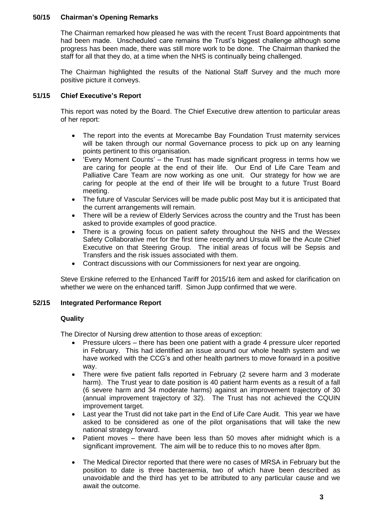# **50/15 Chairman's Opening Remarks**

The Chairman remarked how pleased he was with the recent Trust Board appointments that had been made. Unscheduled care remains the Trust's biggest challenge although some progress has been made, there was still more work to be done. The Chairman thanked the staff for all that they do, at a time when the NHS is continually being challenged.

The Chairman highlighted the results of the National Staff Survey and the much more positive picture it conveys.

# **51/15 Chief Executive's Report**

This report was noted by the Board. The Chief Executive drew attention to particular areas of her report:

- The report into the events at Morecambe Bay Foundation Trust maternity services will be taken through our normal Governance process to pick up on any learning points pertinent to this organisation.
- 'Every Moment Counts' the Trust has made significant progress in terms how we are caring for people at the end of their life. Our End of Life Care Team and Palliative Care Team are now working as one unit. Our strategy for how we are caring for people at the end of their life will be brought to a future Trust Board meeting.
- The future of Vascular Services will be made public post May but it is anticipated that the current arrangements will remain.
- There will be a review of Elderly Services across the country and the Trust has been asked to provide examples of good practice.
- There is a growing focus on patient safety throughout the NHS and the Wessex Safety Collaborative met for the first time recently and Ursula will be the Acute Chief Executive on that Steering Group. The initial areas of focus will be Sepsis and Transfers and the risk issues associated with them.
- Contract discussions with our Commissioners for next year are ongoing.

Steve Erskine referred to the Enhanced Tariff for 2015/16 item and asked for clarification on whether we were on the enhanced tariff. Simon Jupp confirmed that we were.

# **52/15 Integrated Performance Report**

# **Quality**

The Director of Nursing drew attention to those areas of exception:

- Pressure ulcers there has been one patient with a grade 4 pressure ulcer reported in February. This had identified an issue around our whole health system and we have worked with the CCG's and other health partners to move forward in a positive way.
- There were five patient falls reported in February (2 severe harm and 3 moderate harm). The Trust year to date position is 40 patient harm events as a result of a fall (6 severe harm and 34 moderate harms) against an improvement trajectory of 30 (annual improvement trajectory of 32). The Trust has not achieved the CQUIN improvement target.
- Last year the Trust did not take part in the End of Life Care Audit. This year we have asked to be considered as one of the pilot organisations that will take the new national strategy forward.
- Patient moves there have been less than 50 moves after midnight which is a significant improvement. The aim will be to reduce this to no moves after 8pm.
- The Medical Director reported that there were no cases of MRSA in February but the position to date is three bacteraemia, two of which have been described as unavoidable and the third has yet to be attributed to any particular cause and we await the outcome.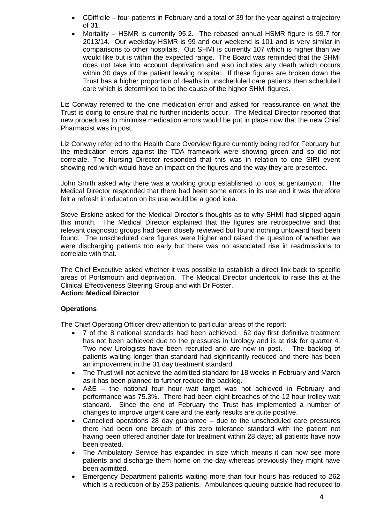- CDifficile four patients in February and a total of 39 for the year against a trajectory of 31.
- Mortality HSMR is currently 95.2. The rebased annual HSMR figure is 99.7 for 2013/14. Our weekday HSMR is 99 and our weekend is 101 and is very similar in comparisons to other hospitals. Out SHMI is currently 107 which is higher than we would like but is within the expected range. The Board was reminded that the SHMI does not take into account deprivation and also includes any death which occurs within 30 days of the patient leaving hospital. If these figures are broken down the Trust has a higher proportion of deaths in unscheduled care patients then scheduled care which is determined to be the cause of the higher SHMI figures.

Liz Conway referred to the one medication error and asked for reassurance on what the Trust is doing to ensure that no further incidents occur. The Medical Director reported that new procedures to minimise medication errors would be put in place now that the new Chief Pharmacist was in post.

Liz Conway referred to the Health Care Overview figure currently being red for February but the medication errors against the TDA framework were showing green and so did not correlate. The Nursing Director responded that this was in relation to one SIRI event showing red which would have an impact on the figures and the way they are presented.

John Smith asked why there was a working group established to look at gentamycin. The Medical Director responded that there had been some errors in its use and it was therefore felt a refresh in education on its use would be a good idea.

Steve Erskine asked for the Medical Director's thoughts as to why SHMI had slipped again this month. The Medical Director explained that the figures are retrospective and that relevant diagnostic groups had been closely reviewed but found nothing untoward had been found. The unscheduled care figures were higher and raised the question of whether we were discharging patients too early but there was no associated rise in readmissions to correlate with that.

The Chief Executive asked whether it was possible to establish a direct link back to specific areas of Portsmouth and deprivation. The Medical Director undertook to raise this at the Clinical Effectiveness Steering Group and with Dr Foster. **Action: Medical Director**

# **Operations**

The Chief Operating Officer drew attention to particular areas of the report:

- 7 of the 8 national standards had been achieved. 62 day first definitive treatment has not been achieved due to the pressures in Urology and is at risk for quarter 4. Two new Urologists have been recruited and are now in post. The backlog of patients waiting longer than standard had significantly reduced and there has been an improvement in the 31 day treatment standard.
- The Trust will not achieve the admitted standard for 18 weeks in February and March as it has been planned to further reduce the backlog.
- A&E the national four hour wait target was not achieved in February and performance was 75.3%. There had been eight breaches of the 12 hour trolley wait standard. Since the end of February the Trust has implemented a number of changes to improve urgent care and the early results are quite positive.
- Cancelled operations 28 day guarantee due to the unscheduled care pressures there had been one breach of this zero tolerance standard with the patient not having been offered another date for treatment within 28 days; all patients have now been treated.
- The Ambulatory Service has expanded in size which means it can now see more patients and discharge them home on the day whereas previously they might have been admitted.
- Emergency Department patients waiting more than four hours has reduced to 262 which is a reduction of by 253 patients. Ambulances queuing outside had reduced to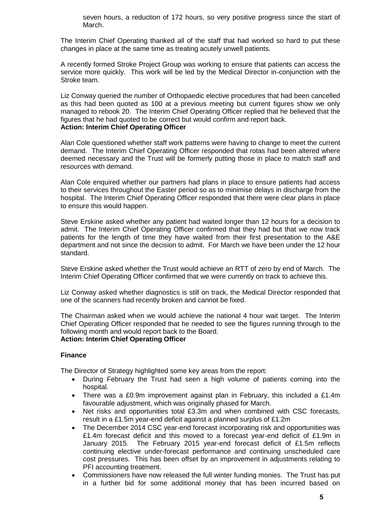seven hours, a reduction of 172 hours, so very positive progress since the start of March.

The Interim Chief Operating thanked all of the staff that had worked so hard to put these changes in place at the same time as treating acutely unwell patients.

A recently formed Stroke Project Group was working to ensure that patients can access the service more quickly. This work will be led by the Medical Director in-conjunction with the Stroke team.

Liz Conway queried the number of Orthopaedic elective procedures that had been cancelled as this had been quoted as 100 at a previous meeting but current figures show we only managed to rebook 20. The Interim Chief Operating Officer replied that he believed that the figures that he had quoted to be correct but would confirm and report back. **Action: Interim Chief Operating Officer**

Alan Cole questioned whether staff work patterns were having to change to meet the current demand. The Interim Chief Operating Officer responded that rotas had been altered where deemed necessary and the Trust will be formerly putting those in place to match staff and resources with demand.

Alan Cole enquired whether our partners had plans in place to ensure patients had access to their services throughout the Easter period so as to minimise delays in discharge from the hospital. The Interim Chief Operating Officer responded that there were clear plans in place to ensure this would happen.

Steve Erskine asked whether any patient had waited longer than 12 hours for a decision to admit. The Interim Chief Operating Officer confirmed that they had but that we now track patients for the length of time they have waited from their first presentation to the A&E department and not since the decision to admit. For March we have been under the 12 hour standard.

Steve Erskine asked whether the Trust would achieve an RTT of zero by end of March. The Interim Chief Operating Officer confirmed that we were currently on track to achieve this.

Liz Conway asked whether diagnostics is still on track, the Medical Director responded that one of the scanners had recently broken and cannot be fixed.

The Chairman asked when we would achieve the national 4 hour wait target. The Interim Chief Operating Officer responded that he needed to see the figures running through to the following month and would report back to the Board. **Action: Interim Chief Operating Officer**

## **Finance**

The Director of Strategy highlighted some key areas from the report:

- During February the Trust had seen a high volume of patients coming into the hospital.
- There was a £0.9m improvement against plan in February, this included a £1.4m favourable adjustment, which was originally phased for March.
- Net risks and opportunities total £3.3m and when combined with CSC forecasts, result in a £1.5m year-end deficit against a planned surplus of £1.2m
- The December 2014 CSC year-end forecast incorporating risk and opportunities was £1.4m forecast deficit and this moved to a forecast year-end deficit of £1.9m in January 2015. The February 2015 year-end forecast deficit of £1.5m reflects continuing elective under-forecast performance and continuing unscheduled care cost pressures. This has been offset by an improvement in adjustments relating to PFI accounting treatment.
- Commissioners have now released the full winter funding monies. The Trust has put in a further bid for some additional money that has been incurred based on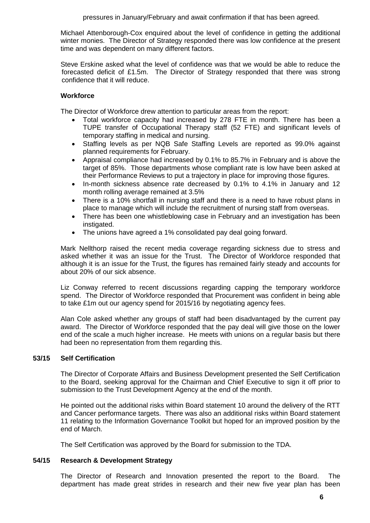Michael Attenborough-Cox enquired about the level of confidence in getting the additional winter monies. The Director of Strategy responded there was low confidence at the present time and was dependent on many different factors.

Steve Erskine asked what the level of confidence was that we would be able to reduce the forecasted deficit of £1.5m. The Director of Strategy responded that there was strong confidence that it will reduce.

# **Workforce**

The Director of Workforce drew attention to particular areas from the report:

- Total workforce capacity had increased by 278 FTE in month. There has been a TUPE transfer of Occupational Therapy staff (52 FTE) and significant levels of temporary staffing in medical and nursing.
- Staffing levels as per NQB Safe Staffing Levels are reported as 99.0% against planned requirements for February.
- Appraisal compliance had increased by 0.1% to 85.7% in February and is above the target of 85%. Those departments whose compliant rate is low have been asked at their Performance Reviews to put a trajectory in place for improving those figures.
- In-month sickness absence rate decreased by 0.1% to 4.1% in January and 12 month rolling average remained at 3.5%
- There is a 10% shortfall in nursing staff and there is a need to have robust plans in place to manage which will include the recruitment of nursing staff from overseas.
- There has been one whistleblowing case in February and an investigation has been instigated.
- The unions have agreed a 1% consolidated pay deal going forward.

Mark Nellthorp raised the recent media coverage regarding sickness due to stress and asked whether it was an issue for the Trust. The Director of Workforce responded that although it is an issue for the Trust, the figures has remained fairly steady and accounts for about 20% of our sick absence.

Liz Conway referred to recent discussions regarding capping the temporary workforce spend. The Director of Workforce responded that Procurement was confident in being able to take £1m out our agency spend for 2015/16 by negotiating agency fees.

Alan Cole asked whether any groups of staff had been disadvantaged by the current pay award. The Director of Workforce responded that the pay deal will give those on the lower end of the scale a much higher increase. He meets with unions on a regular basis but there had been no representation from them regarding this.

# **53/15 Self Certification**

The Director of Corporate Affairs and Business Development presented the Self Certification to the Board, seeking approval for the Chairman and Chief Executive to sign it off prior to submission to the Trust Development Agency at the end of the month.

He pointed out the additional risks within Board statement 10 around the delivery of the RTT and Cancer performance targets. There was also an additional risks within Board statement 11 relating to the Information Governance Toolkit but hoped for an improved position by the end of March.

The Self Certification was approved by the Board for submission to the TDA.

# **54/15 Research & Development Strategy**

The Director of Research and Innovation presented the report to the Board. The department has made great strides in research and their new five year plan has been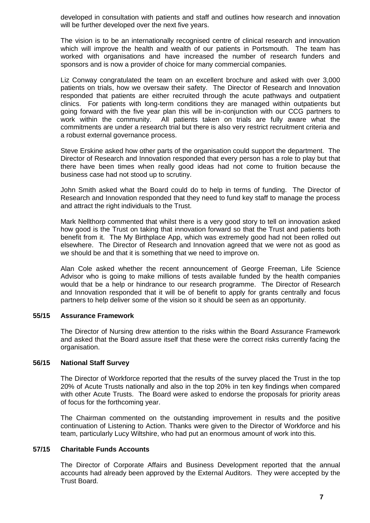developed in consultation with patients and staff and outlines how research and innovation will be further developed over the next five years.

The vision is to be an internationally recognised centre of clinical research and innovation which will improve the health and wealth of our patients in Portsmouth. The team has worked with organisations and have increased the number of research funders and sponsors and is now a provider of choice for many commercial companies.

Liz Conway congratulated the team on an excellent brochure and asked with over 3,000 patients on trials, how we oversaw their safety. The Director of Research and Innovation responded that patients are either recruited through the acute pathways and outpatient clinics. For patients with long-term conditions they are managed within outpatients but going forward with the five year plan this will be in-conjunction with our CCG partners to work within the community. All patients taken on trials are fully aware what the commitments are under a research trial but there is also very restrict recruitment criteria and a robust external governance process.

Steve Erskine asked how other parts of the organisation could support the department. The Director of Research and Innovation responded that every person has a role to play but that there have been times when really good ideas had not come to fruition because the business case had not stood up to scrutiny.

John Smith asked what the Board could do to help in terms of funding. The Director of Research and Innovation responded that they need to fund key staff to manage the process and attract the right individuals to the Trust.

Mark Nellthorp commented that whilst there is a very good story to tell on innovation asked how good is the Trust on taking that innovation forward so that the Trust and patients both benefit from it. The My Birthplace App, which was extremely good had not been rolled out elsewhere. The Director of Research and Innovation agreed that we were not as good as we should be and that it is something that we need to improve on.

Alan Cole asked whether the recent announcement of George Freeman, Life Science Advisor who is going to make millions of tests available funded by the health companies would that be a help or hindrance to our research programme. The Director of Research and Innovation responded that it will be of benefit to apply for grants centrally and focus partners to help deliver some of the vision so it should be seen as an opportunity.

## **55/15 Assurance Framework**

The Director of Nursing drew attention to the risks within the Board Assurance Framework and asked that the Board assure itself that these were the correct risks currently facing the organisation.

## **56/15 National Staff Survey**

The Director of Workforce reported that the results of the survey placed the Trust in the top 20% of Acute Trusts nationally and also in the top 20% in ten key findings when compared with other Acute Trusts. The Board were asked to endorse the proposals for priority areas of focus for the forthcoming year.

The Chairman commented on the outstanding improvement in results and the positive continuation of Listening to Action. Thanks were given to the Director of Workforce and his team, particularly Lucy Wiltshire, who had put an enormous amount of work into this.

## **57/15 Charitable Funds Accounts**

The Director of Corporate Affairs and Business Development reported that the annual accounts had already been approved by the External Auditors. They were accepted by the Trust Board.